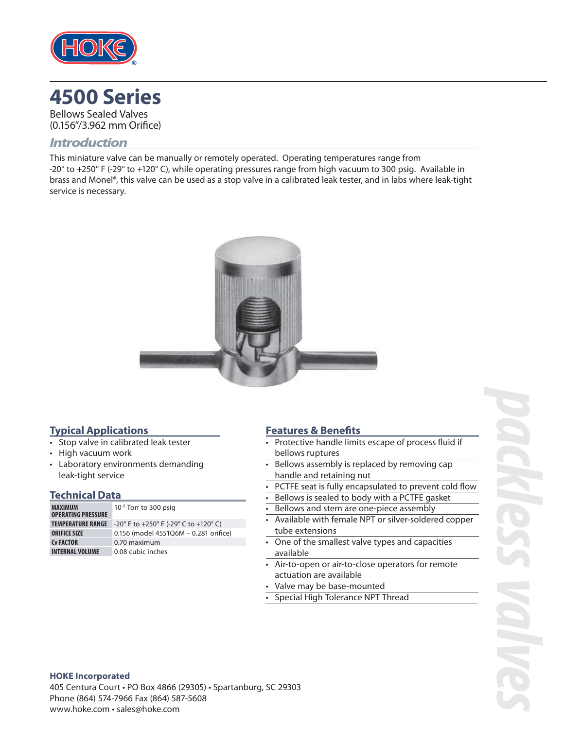

# **4500 Series**

Bellows Sealed Valves (0.156"/3.962 mm Orifice)

#### *Introduction*

This miniature valve can be manually or remotely operated. Operating temperatures range from -20 $^{\circ}$  to +250 $^{\circ}$  F (-29 $^{\circ}$  to +120 $^{\circ}$  C), while operating pressures range from high vacuum to 300 psig. Available in brass and Monel®, this valve can be used as a stop valve in a calibrated leak tester, and in labs where leak-tight service is necessary.



#### **Typical Applications**

- Stop valve in calibrated leak tester
- High vacuum work
- Laboratory environments demanding leak-tight service

#### **Technical Data**

| <b>MAXIMUM</b><br><b>OPERATING PRESSURE</b> | $10^{-5}$ Torr to 300 psig            |
|---------------------------------------------|---------------------------------------|
| <b>TEMPERATURE RANGE</b>                    | -20° F to +250° F (-29° C to +120° C) |
| <b>ORIFICE SIZE</b>                         | 0.156 (model 455106M - 0.281 orifice) |
| <b>Cy FACTOR</b>                            | 0.70 maximum                          |
| <b>INTERNAL VOLUME</b>                      | 0.08 cubic inches                     |

#### **Features & Benefits**

- Protective handle limits escape of process fluid if bellows ruptures
- Bellows assembly is replaced by removing cap handle and retaining nut
- PCTFE seat is fully encapsulated to prevent cold flow
- Bellows is sealed to body with a PCTFE gasket
- Bellows and stem are one-piece assembly
- Available with female NPT or silver-soldered copper tube extensions
- One of the smallest valve types and capacities available
- Air-to-open or air-to-close operators for remote actuation are available
- Valve may be base-mounted
- Special High Tolerance NPT Thread

#### **HOKE Incorporated**

405 Centura Court • PO Box 4866 (29305) • Spartanburg, SC 29303 Phone (864) 574-7966 Fax (864) 587-5608 www.hoke.com · sales@hoke.com